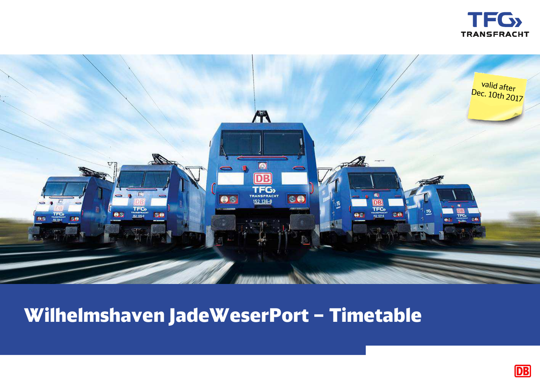



# **Wilhelmshaven JadeWeserPort – Timetable**

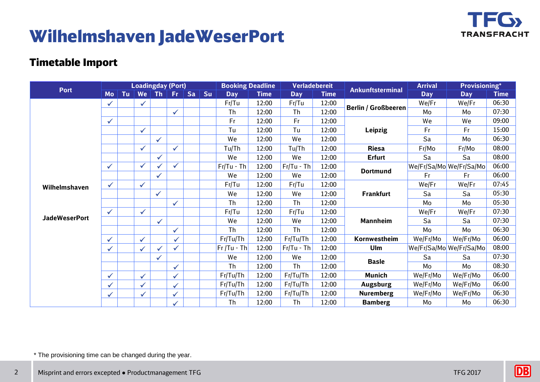

## **Wilhelmshaven JadeWeserPort**

#### **Timetable Import**

| <b>Port</b>                           | <b>Loadingday (Port)</b> |    |              |              |              |           |    | <b>Booking Deadline</b> |             |              | <b>Verladebereit</b> |                            | <b>Arrival</b> | <b>Provisioning*</b>    |             |
|---------------------------------------|--------------------------|----|--------------|--------------|--------------|-----------|----|-------------------------|-------------|--------------|----------------------|----------------------------|----------------|-------------------------|-------------|
|                                       | <b>Mo</b>                | Tu | We           | <b>Th</b>    | Fr.          | <b>Sa</b> | Su | <b>Day</b>              | <b>Time</b> | <b>Day</b>   | <b>Time</b>          | <b>Ankunftsterminal</b>    | <b>Day</b>     | <b>Day</b>              | <b>Time</b> |
| Wilhelmshaven<br><b>JadeWeserPort</b> | $\checkmark$             |    | $\checkmark$ |              |              |           |    | Fr/Tu                   | 12:00       | Fr/Tu        | 12:00                | <b>Berlin / Großbeeren</b> | We/Fr          | We/Fr                   | 06:30       |
|                                       |                          |    |              |              | $\checkmark$ |           |    | Th                      | 12:00       | Th           | 12:00                |                            | Mo             | Mo                      | 07:30       |
|                                       | $\checkmark$             |    |              |              |              |           |    | Fr                      | 12:00       | Fr           | 12:00                | <b>Leipzig</b>             | We             | We                      | 09:00       |
|                                       |                          |    | $\checkmark$ |              |              |           |    | Tu                      | 12:00       | Tu           | 12:00                |                            | Fr             | Fr                      | 15:00       |
|                                       |                          |    |              | $\checkmark$ |              |           |    | We                      | 12:00       | We           | 12:00                |                            | Sa             | Mo                      | 06:30       |
|                                       |                          |    | $\checkmark$ |              | $\checkmark$ |           |    | Tu/Th                   | 12:00       | Tu/Th        | 12:00                | <b>Riesa</b>               | Fr/Mo          | Fr/Mo                   | 08:00       |
|                                       |                          |    |              |              |              |           |    | We                      | 12:00       | We           | 12:00                | <b>Erfurt</b>              | Sa             | Sa                      | 08:00       |
|                                       | $\checkmark$             |    | $\checkmark$ |              | $\checkmark$ |           |    | $Fr/Tu$ - Th            | 12:00       | $Fr/Tu$ - Th | 12:00                | <b>Dortmund</b>            |                | We/Fr/Sa/Mo We/Fr/Sa/Mo | 06:00       |
|                                       |                          |    |              | $\checkmark$ |              |           |    | We                      | 12:00       | We           | 12:00                |                            | Fr             | Fr                      | 06:00       |
|                                       | $\checkmark$             |    | $\checkmark$ |              |              |           |    | Fr/Tu                   | 12:00       | Fr/Tu        | 12:00                | <b>Frankfurt</b>           | We/Fr          | We/Fr                   | 07:45       |
|                                       |                          |    |              | $\checkmark$ |              |           |    | We                      | 12:00       | We           | 12:00                |                            | Sa             | Sa                      | 05:30       |
|                                       |                          |    |              |              | $\checkmark$ |           |    | <b>Th</b>               | 12:00       | <b>Th</b>    | 12:00                |                            | Mo             | Mo                      | 05:30       |
|                                       | $\checkmark$             |    | $\checkmark$ |              |              |           |    | Fr/Tu                   | 12:00       | Fr/Tu        | 12:00                | <b>Mannheim</b>            | We/Fr          | We/Fr                   | 07:30       |
|                                       |                          |    |              | $\checkmark$ |              |           |    | We                      | 12:00       | We           | 12:00                |                            | Sa             | Sa                      | 07:30       |
|                                       |                          |    |              |              | $\checkmark$ |           |    | <b>Th</b>               | 12:00       | <b>Th</b>    | 12:00                |                            | Mo             | Mo                      | 06:30       |
|                                       | $\checkmark$             |    | $\checkmark$ |              | $\checkmark$ |           |    | Fr/Tu/Th                | 12:00       | Fr/Tu/Th     | 12:00                | Kornwestheim               | We/Fr/Mo       | We/Fr/Mo                | 06:00       |
|                                       | $\checkmark$             |    | $\checkmark$ |              | $\checkmark$ |           |    | $Fr/Tu - Th$            | 12:00       | $Fr/Tu$ - Th | 12:00                | Ulm                        |                | We/Fr/Sa/Mo We/Fr/Sa/Mo | 08:00       |
|                                       |                          |    |              | ✓            |              |           |    | We                      | 12:00       | We           | 12:00                | <b>Basle</b>               | Sa             | Sa                      | 07:30       |
|                                       |                          |    |              |              | $\checkmark$ |           |    | <b>Th</b>               | 12:00       | <b>Th</b>    | 12:00                |                            | Mo             | Mo                      | 08:30       |
|                                       | $\checkmark$             |    | $\checkmark$ |              | $\checkmark$ |           |    | Fr/Tu/Th                | 12:00       | Fr/Tu/Th     | 12:00                | <b>Munich</b>              | We/Fr/Mo       | We/Fr/Mo                | 06:00       |
|                                       | $\checkmark$             |    | $\checkmark$ |              | $\checkmark$ |           |    | Fr/Tu/Th                | 12:00       | Fr/Tu/Th     | 12:00                | <b>Augsburg</b>            | We/Fr/Mo       | We/Fr/Mo                | 06:00       |
|                                       | $\checkmark$             |    | $\checkmark$ |              | $\checkmark$ |           |    | Fr/Tu/Th                | 12:00       | Fr/Tu/Th     | 12:00                | <b>Nuremberg</b>           | We/Fr/Mo       | We/Fr/Mo                | 06:30       |
|                                       |                          |    |              |              |              |           |    | <b>Th</b>               | 12:00       | <b>Th</b>    | 12:00                | <b>Bamberg</b>             | Mo             | Mo                      | 06:30       |

\* The provisioning time can be changed during the year.

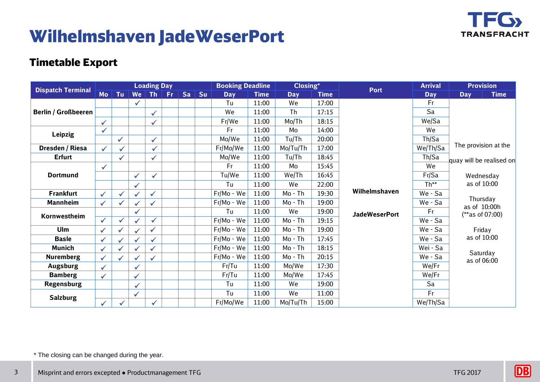

## **Wilhelmshaven JadeWeserPort**

#### **Timetable Export**

| <b>Dispatch Terminal</b>   |              |              |              | <b>Loading Day</b> |     |    |    | <b>Booking Deadline</b> |             | Closing*   |             |                      | <b>Arrival</b> | <b>Provision</b>          |  |
|----------------------------|--------------|--------------|--------------|--------------------|-----|----|----|-------------------------|-------------|------------|-------------|----------------------|----------------|---------------------------|--|
|                            | Mo           | Tu           | We           | <b>Th</b>          | Fr. | Sa | Su | <b>Day</b>              | <b>Time</b> | <b>Day</b> | <b>Time</b> | <b>Port</b>          | <b>Day</b>     | <b>Time</b><br><b>Day</b> |  |
|                            |              |              | $\checkmark$ |                    |     |    |    | Tu                      | 11:00       | <b>We</b>  | 17:00       |                      | Fr             |                           |  |
| <b>Berlin / Großbeeren</b> |              |              |              | $\checkmark$       |     |    |    | We                      | 11:00       | Th         | 17:15       |                      | Sa             |                           |  |
|                            | $\sqrt{2}$   |              |              | $\checkmark$       |     |    |    | Fr/We                   | 11:00       | Mo/Th      | 18:15       |                      | We/Sa          |                           |  |
| <b>Leipzig</b>             | $\checkmark$ |              |              |                    |     |    |    | Fr                      | 11:00       | Mo         | 14:00       |                      | We             |                           |  |
|                            |              | $\checkmark$ |              | $\checkmark$       |     |    |    | Mo/We                   | 11:00       | Tu/Th      | 20:00       |                      | Th/Sa          |                           |  |
| Dresden / Riesa            | $\checkmark$ | $\checkmark$ |              | $\checkmark$       |     |    |    | Fr/Mo/We                | 11:00       | Mo/Tu/Th   | 17:00       |                      | We/Th/Sa       | The provision at the      |  |
| <b>Erfurt</b>              |              | ✓            |              | $\checkmark$       |     |    |    | Mo/We                   | 11:00       | Tu/Th      | 18:45       |                      | Th/Sa          | quay will be realised on  |  |
|                            | $\checkmark$ |              |              |                    |     |    |    | Fr                      | 11:00       | Mo         | 15:45       |                      | We             |                           |  |
| <b>Dortmund</b>            |              |              | $\checkmark$ | $\checkmark$       |     |    |    | Tu/We                   | 11:00       | We/Th      | 16:45       |                      | Fr/Sa          | Wednesday                 |  |
|                            |              |              | $\checkmark$ |                    |     |    |    | Tu                      | 11:00       | We         | 22:00       |                      | $Th**$         | as of 10:00               |  |
| <b>Frankfurt</b>           | $\checkmark$ | $\checkmark$ |              | $\checkmark$       |     |    |    | Fr/Mo - We              | 11:00       | Mo - Th    | 19:30       | Wilhelmshaven        | We - Sa        |                           |  |
| <b>Mannheim</b>            | $\checkmark$ | $\checkmark$ |              | $\checkmark$       |     |    |    | Fr/Mo - We              | 11:00       | Mo - Th    | 19:00       |                      | We - Sa        | Thursday<br>as of 10:00h  |  |
| Kornwestheim               |              |              | ✓            |                    |     |    |    | Tu                      | 11:00       | We         | 19:00       | <b>JadeWeserPort</b> | Fr             | $(**as of 07:00)$         |  |
|                            | $\checkmark$ | $\checkmark$ |              | $\checkmark$       |     |    |    | Fr/Mo - We              | 11:00       | Mo - Th    | 19:15       |                      | We - Sa        |                           |  |
| Ulm                        | ✓            | ✓            |              | $\checkmark$       |     |    |    | Fr/Mo - We              | 11:00       | Mo - Th    | 19:00       |                      | We - Sa        | Friday                    |  |
| <b>Basle</b>               | $\checkmark$ | $\checkmark$ |              | $\checkmark$       |     |    |    | Fr/Mo - We              | 11:00       | Mo - Th    | 17:45       |                      | We - Sa        | as of 10:00               |  |
| <b>Munich</b>              | $\checkmark$ |              |              | $\checkmark$       |     |    |    | Fr/Mo - We              | 11:00       | Mo - Th    | 18:15       |                      | Wei - Sa       | Saturday                  |  |
| <b>Nuremberg</b>           | $\checkmark$ | ✓            |              | $\checkmark$       |     |    |    | Fr/Mo - We              | 11:00       | Mo - Th    | 20:15       |                      | We - Sa        | as of 06:00               |  |
| <b>Augsburg</b>            | $\checkmark$ |              | $\checkmark$ |                    |     |    |    | Fr/Tu                   | 11:00       | Mo/We      | 17:30       |                      | We/Fr          |                           |  |
| <b>Bamberg</b>             | ✔            |              | $\checkmark$ |                    |     |    |    | Fr/Tu                   | 11:00       | Mo/We      | 17:45       |                      | We/Fr          |                           |  |
| <b>Regensburg</b>          |              |              | $\checkmark$ |                    |     |    |    | Tu                      | 11:00       | We         | 19:00       |                      | Sa             |                           |  |
| <b>Salzburg</b>            |              |              | $\checkmark$ |                    |     |    |    | Tu                      | 11:00       | We         | 11:00       |                      | Fr             |                           |  |
|                            | ✓            | $\checkmark$ |              |                    |     |    |    | Fr/Mo/We                | 11:00       | Mo/Tu/Th   | 15:00       |                      | We/Th/Sa       |                           |  |

\* The closing can be changed during the year.